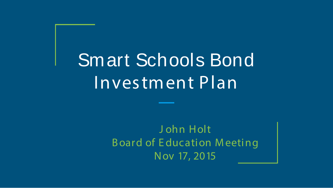# Smart Schools Bond Investment Plan

J ohn Holt B oard of E ducation M eeting Nov 17, 2015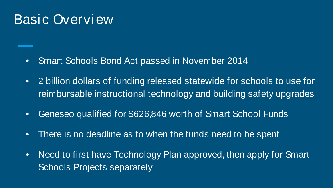#### Basic Overview

- Smart Schools Bond Act passed in November 2014
- 2 billion dollars of funding released statewide for schools to use for reimbursable instructional technology and building safety upgrades
- Geneseo qualified for \$626,846 worth of Smart School Funds
- There is no deadline as to when the funds need to be spent
- Need to first have Technology Plan approved, then apply for Smart Schools Projects separately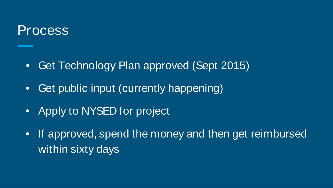#### Process

- Get Technology Plan approved (Sept 2015)
- Get public input (currently happening)
- Apply to NYSED for project
- If approved, spend the money and then get reimbursed within sixty days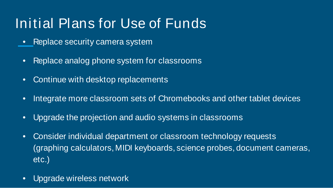### Initial Plans for Use of Funds

- Replace security camera system
- Replace analog phone system for classrooms
- Continue with desktop replacements
- Integrate more classroom sets of Chromebooks and other tablet devices
- Upgrade the projection and audio systems in classrooms
- Consider individual department or classroom technology requests (graphing calculators, MIDI keyboards, science probes, document cameras, etc.)
- Upgrade wireless network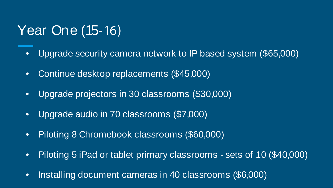#### Year One (15-16)

- Upgrade security camera network to IP based system (\$65,000)
- Continue desktop replacements (\$45,000)
- Upgrade projectors in 30 classrooms (\$30,000)
- Upgrade audio in 70 classrooms (\$7,000)
- Piloting 8 Chromebook classrooms (\$60,000)
- Piloting 5 iPad or tablet primary classrooms sets of 10 (\$40,000)
- Installing document cameras in 40 classrooms (\$6,000)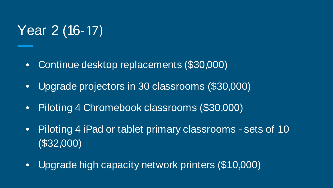#### Year 2 (16-17)

- Continue desktop replacements (\$30,000)
- Upgrade projectors in 30 classrooms (\$30,000)
- Piloting 4 Chromebook classrooms (\$30,000)
- Piloting 4 iPad or tablet primary classrooms sets of 10 (\$32,000)
- Upgrade high capacity network printers (\$10,000)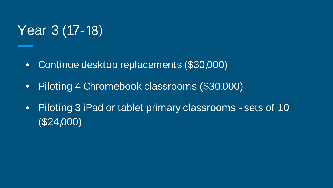#### Year 3 (17-18)

- Continue desktop replacements (\$30,000)
- Piloting 4 Chromebook classrooms (\$30,000)
- Piloting 3 iPad or tablet primary classrooms sets of 10 (\$24,000)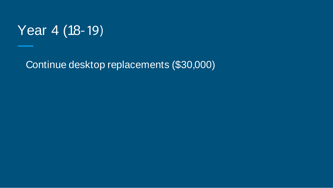

Continue desktop replacements (\$30,000)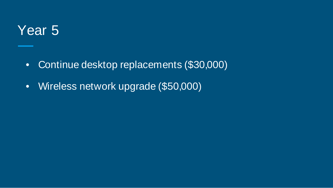#### Year 5

- Continue desktop replacements (\$30,000)
- Wireless network upgrade (\$50,000)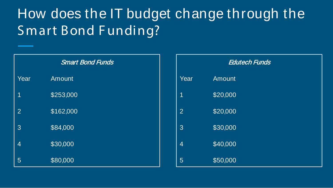# How does the IT budget change through the Smart Bond F unding?

| <b>Smart Bond Funds</b> |           |
|-------------------------|-----------|
| Year                    | Amount    |
| 1                       | \$253,000 |
| $\overline{2}$          | \$162,000 |
| 3                       | \$84,000  |
| 4                       | \$30,000  |
| 5                       | \$80,000  |